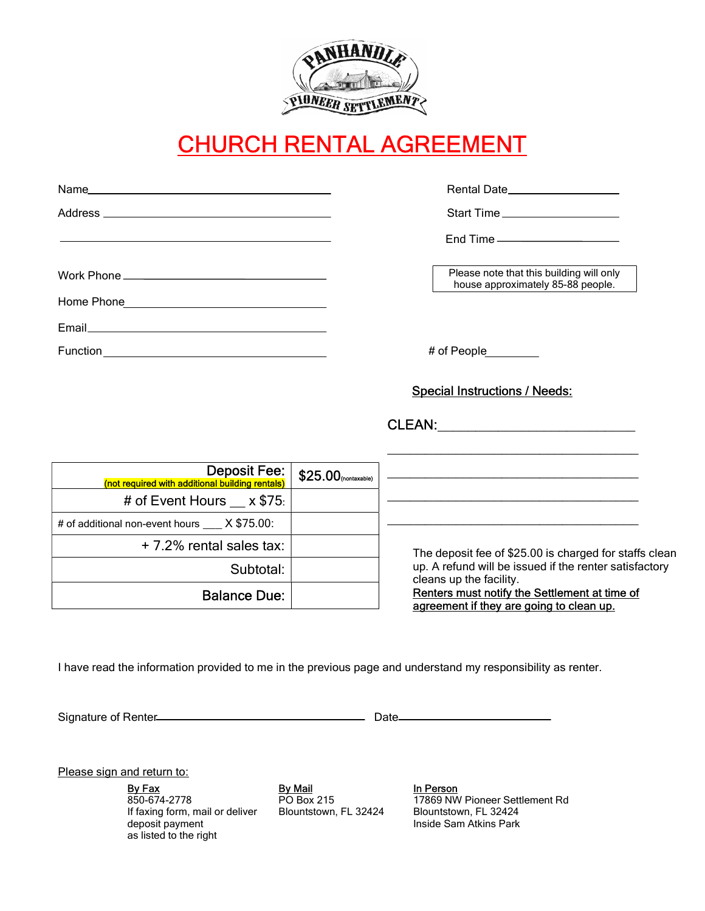

# CHURCH RENTAL AGREEMENT

|                                                                        |                       | Rental Date____________________                                                                                                                                                                                                          |
|------------------------------------------------------------------------|-----------------------|------------------------------------------------------------------------------------------------------------------------------------------------------------------------------------------------------------------------------------------|
|                                                                        |                       | Start Time                                                                                                                                                                                                                               |
|                                                                        |                       | $End$ Time $\_\_\_\_\_\_\_\_\_\_\_\_\_\_\_\_\_\_\_\_\_\_\_\_\_$                                                                                                                                                                          |
|                                                                        |                       | Please note that this building will only<br>house approximately 85-88 people.                                                                                                                                                            |
|                                                                        |                       |                                                                                                                                                                                                                                          |
|                                                                        |                       |                                                                                                                                                                                                                                          |
|                                                                        |                       | # of People________                                                                                                                                                                                                                      |
|                                                                        |                       | <b>Special Instructions / Needs:</b><br><u> 1990 - Johann John Stone, market fan de Amerikaanske kommunister fan de Amerikaanske kommunister fan de Amerikaans</u>                                                                       |
| <b>Deposit Fee:</b><br>(not required with additional building rentals) | $$25.00$ (nontaxable) | <u> 1989 - Johann Stoff, amerikansk politiker (d. 1989)</u>                                                                                                                                                                              |
| # of Event Hours $\_\ x$ \$75.                                         |                       | <u> 1989 - Johann Stoff, deutscher Stoff, der Stoff, der Stoff, der Stoff, der Stoff, der Stoff, der Stoff, der S</u>                                                                                                                    |
| # of additional non-event hours X \$75.00:                             |                       |                                                                                                                                                                                                                                          |
| +7.2% rental sales tax:                                                |                       | The deposit fee of \$25.00 is charged for staffs clean<br>up. A refund will be issued if the renter satisfactory<br>cleans up the facility.<br>Renters must notify the Settlement at time of<br>agreement if they are going to clean up. |
| Subtotal:                                                              |                       |                                                                                                                                                                                                                                          |
| <b>Balance Due:</b>                                                    |                       |                                                                                                                                                                                                                                          |

I have read the information provided to me in the previous page and understand my responsibility as renter.

Signature of Renter Manual Communication and Date

Please sign and return to:

By Fax By Mail In Person 850-674-2778 If faxing form, mail or deliver deposit payment as listed to the right

PO Box 215 Blountstown, FL 32424

17869 NW Pioneer Settlement Rd Blountstown, FL 32424 Inside Sam Atkins Park